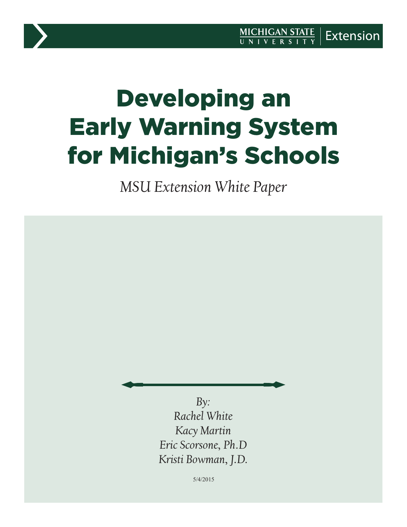

# Developing an Early Warning System for Michigan's Schools

*MSU Extension White Paper*



5/4/2015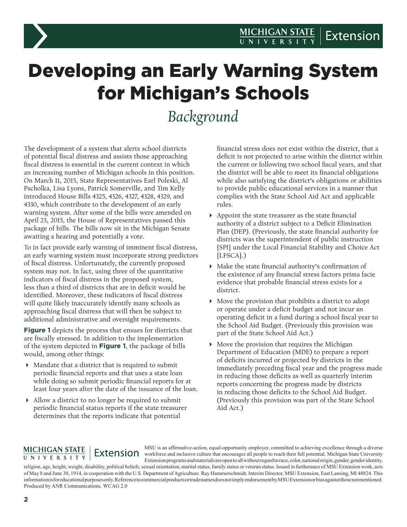



### Developing an Early Warning System for Michigan's Schools

### *Background*

The development of a system that alerts school districts of potential fiscal distress and assists those approaching fiscal distress is essential in the current context in which an increasing number of Michigan schools in this position. On March 11, 2015, State Representatives Earl Poleski, Al Pscholka, Lisa Lyons, Patrick Somerville, and Tim Kelly introduced House Bills 4325, 4326, 4327, 4328, 4329, and 4330, which contribute to the development of an early warning system. After some of the bills were amended on April 23, 2015, the House of Representatives passed this package of bills. The bills now sit in the Michigan Senate awaiting a hearing and potentially a vote.

To in fact provide early warning of imminent fiscal distress, an early warning system must incorporate strong predictors of fiscal distress. Unfortunately, the currently proposed system may not. In fact, using three of the quantitative indicators of fiscal distress in the proposed system, less than a third of districts that are in deficit would be identified. Moreover, these indicators of fiscal distress will quite likely inaccurately identify many schools as approaching fiscal distress that will then be subject to additional administrative and oversight requirements.

**Figure 1** depicts the process that ensues for districts that are fiscally stressed. In addition to the implementation of the system depicted in **Figure 1**, the package of bills would, among other things:

- Mandate that a district that is required to submit periodic financial reports and that uses a state loan while doing so submit periodic financial reports for at least four years after the date of the issuance of the loan.
- Allow a district to no longer be required to submit periodic financial status reports if the state treasurer determines that the reports indicate that potential

financial stress does not exist within the district, that a deficit is not projected to arise within the district within the current or following two school fiscal years, and that the district will be able to meet its financial obligations while also satisfying the district's obligations or abilities to provide public educational services in a manner that complies with the State School Aid Act and applicable rules.

- Appoint the state treasurer as the state financial authority of a district subject to a Deficit Elimination Plan (DEP). (Previously, the state financial authority for districts was the superintendent of public instruction [SPI] under the Local Financial Stability and Choice Act [LFSCA].)
- Make the state financial authority's confirmation of the existence of any financial stress factors prima facie evidence that probable financial stress exists for a district.
- Move the provision that prohibits a district to adopt or operate under a deficit budget and not incur an operating deficit in a fund during a school fiscal year to the School Aid Budget. (Previously this provision was part of the State School Aid Act.)
- Move the provision that requires the Michigan Department of Education (MDE) to prepare a report of deficits incurred or projected by districts in the immediately preceding fiscal year and the progress made in reducing those deficits as well as quarterly interim reports concerning the progress made by districts in reducing those deficits to the School Aid Budget. (Previously this provision was part of the State School Aid Act.)

#### $\frac{\text{MICHIGAN STATE}}{\text{UNIVE R SLTY}}$

MSU is an affirmative-action, equal-opportunity employer, committed to achieving excellence through a diverse **Extension** was a statement culture culture that encourages all people to reach their full potential. Michigan State University Extension programs and materials are open to all without regard to race, color, national origin, gender, gender identity,

religion, age, height, weight, disability, political beliefs, sexual orientation, marital status, family status or veteran status. Issued in furtherance of MSU Extension work, acts of May 8 and June 30, 1914, in cooperation with the U.S. Department of Agriculture. Ray Hammerschmidt, Interim Director, MSU Extension, East Lansing, MI 48824. This information is for educational purposes only. Reference to commercial products or trade names does not imply endorsement by MSU Extension or bias against those not mentioned. Produced by ANR Communications. WCAG 2.0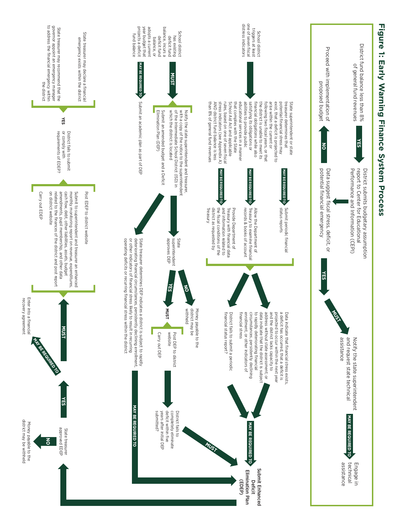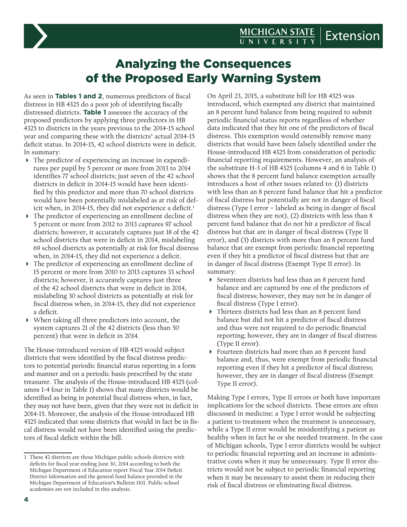

#### Analyzing the Consequences of the Proposed Early Warning System

As seen in **Tables 1 and 2**, numerous predictors of fiscal distress in HB 4325 do a poor job of identifying fiscally distressed districts. **Table 1** assesses the accuracy of the proposed predictors by applying three predictors in HB 4325 to districts in the years previous to the 2014-15 school year and comparing these with the districts' actual 2014-15 deficit status. In 2014-15, 42 school districts were in deficit. In summary:

- The predictor of experiencing an increase in expenditures per pupil by 5 percent or more from 2013 to 2014 identifies 77 school districts; just seven of the 42 school districts in deficit in 2014-15 would have been identified by this predictor and more than 70 school districts would have been potentially mislabeled as at risk of deficit when, in 2014-15, they did not experience a deficit.<sup>1</sup>
- The predictor of experiencing an enrollment decline of 5 percent or more from 2012 to 2013 captures 97 school districts; however, it accurately captures just 18 of the 42 school districts that were in deficit in 2014, mislabeling 69 school districts as potentially at risk for fiscal distress when, in 2014-15, they did not experience a deficit.
- The predictor of experiencing an enrollment decline of 15 percent or more from 2010 to 2013 captures 33 school districts; however, it accurately captures just three of the 42 school districts that were in deficit in 2014, mislabeling 30 school districts as potentially at risk for fiscal distress when, in 2014-15, they did not experience a deficit.
- When taking all three predictors into account, the system captures 21 of the 42 districts (less than 50 percent) that were in deficit in 2014.

The House-introduced version of HB 4325 would subject districts that were identified by the fiscal distress predictors to potential periodic financial status reporting in a form and manner and on a periodic basis prescribed by the state treasurer. The analysis of the House-introduced HB 4325 (columns 1-4 four in Table 1) shows that many districts would be identified as being in potential fiscal distress when, in fact, they may not have been, given that they were not in deficit in 2014-15. Moreover, the analysis of the House-introduced HB 4325 indicated that some districts that would in fact be in fiscal distress would not have been identified using the predictors of fiscal deficit within the bill.

On April 23, 2015, a substitute bill for HB 4325 was introduced, which exempted any district that maintained an 8 percent fund balance from being required to submit periodic financial status reports regardless of whether data indicated that they hit one of the predictors of fiscal distress. This exemption would ostensibly remove many districts that would have been falsely identified under the House-introduced HB 4325 from consideration of periodic financial reporting requirements. However, an analysis of the substitute H-3 of HB 4325 (columns 4 and 6 in Table 1) shows that the 8 percent fund balance exemption actually introduces a host of other issues related to: (1) districts with less than an 8 percent fund balance that hit a predictor of fiscal distress but potentially are not in danger of fiscal distress (Type I error – labeled as being in danger of fiscal distress when they are not), (2) districts with less than 8 percent fund balance that do not hit a predictor of fiscal distress but that are in danger of fiscal distress (Type II error), and (3) districts with more than an 8 percent fund balance that are exempt from periodic financial reporting even if they hit a predictor of fiscal distress but that are in danger of fiscal distress (Exempt Type II error). In summary:

- Seventeen districts had less than an 8 percent fund balance and are captured by one of the predictors of fiscal distress; however, they may not be in danger of fiscal distress (Type I error).
- Thirteen districts had less than an 8 percent fund balance but did not hit a predictor of fiscal distress and thus were not required to do periodic financial reporting; however, they are in danger of fiscal distress (Type II error).
- Fourteen districts had more than an 8 percent fund balance and, thus, were exempt from periodic financial reporting even if they hit a predictor of fiscal distress; however, they are in danger of fiscal distress (Exempt Type II error).

Making Type I errors, Type II errors or both have important implications for the school districts. These errors are often discussed in medicine: a Type I error would be subjecting a patient to treatment when the treatment is unnecessary, while a Type II error would be misidentifying a patient as healthy when in fact he or she needed treatment. In the case of Michigan schools, Type I error districts would be subject to periodic financial reporting and an increase in administrative costs when it may be unnecessary. Type II error districts would not be subject to periodic financial reporting when it may be necessary to assist them in reducing their risk of fiscal distress or eliminating fiscal distress.

<sup>1</sup> These 42 districts are those Michigan public schools districts with deficits for fiscal year ending June 30, 2014 according to both the Michigan Department of Education report Fiscal Year 2014 Deficit District Information and the general fund balance provided in the Michigan Department of Education's Bulletin 1101. Public school academies are not included in this analysis.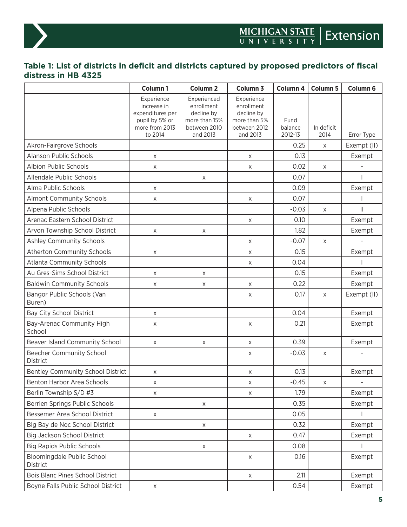

|                                        | Column <sub>1</sub>                                                                          | <b>Column 2</b>                                                                      | Column 3                                                                           | Column 4                   | <b>Column 5</b>    | <b>Column 6</b>     |
|----------------------------------------|----------------------------------------------------------------------------------------------|--------------------------------------------------------------------------------------|------------------------------------------------------------------------------------|----------------------------|--------------------|---------------------|
|                                        | Experience<br>increase in<br>expenditures per<br>pupil by 5% or<br>more from 2013<br>to 2014 | Experienced<br>enrollment<br>decline by<br>more than 15%<br>between 2010<br>and 2013 | Experience<br>enrollment<br>decline by<br>more than 5%<br>between 2012<br>and 2013 | Fund<br>balance<br>2012-13 | In deficit<br>2014 | Error Type          |
| Akron-Fairgrove Schools                |                                                                                              |                                                                                      |                                                                                    | 0.25                       | X                  | Exempt (II)         |
| <b>Alanson Public Schools</b>          | X                                                                                            |                                                                                      | X                                                                                  | 0.13                       |                    | Exempt              |
| <b>Albion Public Schools</b>           | X                                                                                            |                                                                                      | X                                                                                  | 0.02                       | $\mathsf{X}$       |                     |
| Allendale Public Schools               |                                                                                              | X                                                                                    |                                                                                    | 0.07                       |                    |                     |
| Alma Public Schools                    | X                                                                                            |                                                                                      |                                                                                    | 0.09                       |                    | Exempt              |
| <b>Almont Community Schools</b>        | X                                                                                            |                                                                                      | X                                                                                  | 0.07                       |                    |                     |
| Alpena Public Schools                  |                                                                                              |                                                                                      |                                                                                    | $-0.03$                    | X                  | $\mathbf{  }$       |
| Arenac Eastern School District         |                                                                                              |                                                                                      | X                                                                                  | 0.10                       |                    | Exempt              |
| Arvon Township School District         | X                                                                                            | X                                                                                    |                                                                                    | 1.82                       |                    | Exempt              |
| <b>Ashley Community Schools</b>        |                                                                                              |                                                                                      | X                                                                                  | $-0.07$                    | X                  |                     |
| <b>Atherton Community Schools</b>      | X                                                                                            |                                                                                      | X                                                                                  | 0.15                       |                    | Exempt              |
| <b>Atlanta Community Schools</b>       |                                                                                              |                                                                                      | X                                                                                  | 0.04                       |                    |                     |
| Au Gres-Sims School District           | X                                                                                            | X                                                                                    |                                                                                    | 0.15                       |                    | Exempt              |
| <b>Baldwin Community Schools</b>       | X                                                                                            | $\mathsf X$                                                                          | X                                                                                  | 0.22                       |                    | Exempt              |
| Bangor Public Schools (Van<br>Buren)   |                                                                                              |                                                                                      | X                                                                                  | 0.17                       | $\mathsf{X}$       | Exempt (II)         |
| <b>Bay City School District</b>        | X                                                                                            |                                                                                      |                                                                                    | 0.04                       |                    | Exempt              |
| Bay-Arenac Community High<br>School    | X                                                                                            |                                                                                      | X                                                                                  | 0.21                       |                    | Exempt              |
| Beaver Island Community School         | X                                                                                            | $\mathsf X$                                                                          | X                                                                                  | 0.39                       |                    | Exempt              |
| Beecher Community School<br>District   |                                                                                              |                                                                                      | X                                                                                  | $-0.03$                    | X                  |                     |
| Bentley Community School District      | X                                                                                            |                                                                                      | X                                                                                  | 0.13                       |                    | Exempt              |
| Benton Harbor Area Schools             | X                                                                                            |                                                                                      | X                                                                                  | $-0.45$                    | X                  | $\bar{\phantom{a}}$ |
| Berlin Township S/D #3                 | X                                                                                            |                                                                                      | X                                                                                  | 1.79                       |                    | Exempt              |
| Berrien Springs Public Schools         |                                                                                              | X                                                                                    |                                                                                    | 0.35                       |                    | Exempt              |
| Bessemer Area School District          | X                                                                                            |                                                                                      |                                                                                    | 0.05                       |                    |                     |
| Big Bay de Noc School District         |                                                                                              | X                                                                                    |                                                                                    | 0.32                       |                    | Exempt              |
| <b>Big Jackson School District</b>     |                                                                                              |                                                                                      | X                                                                                  | 0.47                       |                    | Exempt              |
| <b>Big Rapids Public Schools</b>       |                                                                                              | $\mathsf X$                                                                          |                                                                                    | 0.08                       |                    |                     |
| Bloomingdale Public School<br>District |                                                                                              |                                                                                      | X                                                                                  | 0.16                       |                    | Exempt              |
| Bois Blanc Pines School District       |                                                                                              |                                                                                      | X                                                                                  | 2.11                       |                    | Exempt              |
| Boyne Falls Public School District     | X                                                                                            |                                                                                      |                                                                                    | 0.54                       |                    | Exempt              |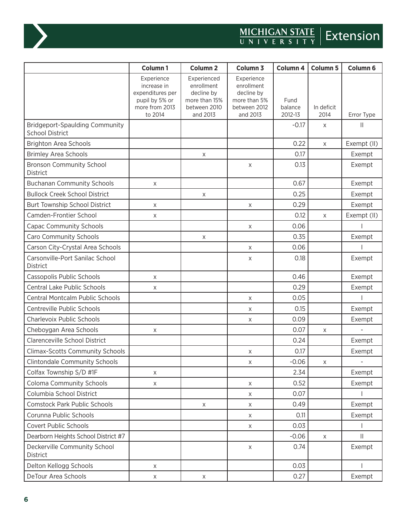

 $\overline{\phantom{a}}$ 

## $\frac{\text{MICHIGAN STATE}}{\text{UNIVE R S IT Y}}$  Extension

|                                                                 | Column <sub>1</sub>                                                                          | <b>Column 2</b>                                                                      | Column 3                                                                           | Column 4                   | <b>Column 5</b>    | <b>Column 6</b>          |
|-----------------------------------------------------------------|----------------------------------------------------------------------------------------------|--------------------------------------------------------------------------------------|------------------------------------------------------------------------------------|----------------------------|--------------------|--------------------------|
|                                                                 | Experience<br>increase in<br>expenditures per<br>pupil by 5% or<br>more from 2013<br>to 2014 | Experienced<br>enrollment<br>decline by<br>more than 15%<br>between 2010<br>and 2013 | Experience<br>enrollment<br>decline by<br>more than 5%<br>between 2012<br>and 2013 | Fund<br>balance<br>2012-13 | In deficit<br>2014 | Error Type               |
| <b>Bridgeport-Spaulding Community</b><br><b>School District</b> |                                                                                              |                                                                                      |                                                                                    | $-0.17$                    | X                  | $\mathbf{  }$            |
| <b>Brighton Area Schools</b>                                    |                                                                                              |                                                                                      |                                                                                    | 0.22                       | X                  | Exempt (II)              |
| <b>Brimley Area Schools</b>                                     |                                                                                              | X                                                                                    |                                                                                    | 0.17                       |                    | Exempt                   |
| <b>Bronson Community School</b><br>District                     |                                                                                              |                                                                                      | X                                                                                  | 0.13                       |                    | Exempt                   |
| <b>Buchanan Community Schools</b>                               | $\mathsf{X}$                                                                                 |                                                                                      |                                                                                    | 0.67                       |                    | Exempt                   |
| <b>Bullock Creek School District</b>                            |                                                                                              | X                                                                                    |                                                                                    | 0.25                       |                    | Exempt                   |
| Burt Township School District                                   | X                                                                                            |                                                                                      | X                                                                                  | 0.29                       |                    | Exempt                   |
| Camden-Frontier School                                          | $\mathsf{X}$                                                                                 |                                                                                      |                                                                                    | 0.12                       | X                  | Exempt (II)              |
| <b>Capac Community Schools</b>                                  |                                                                                              |                                                                                      | $\mathsf{X}$                                                                       | 0.06                       |                    |                          |
| Caro Community Schools                                          |                                                                                              | X                                                                                    |                                                                                    | 0.35                       |                    | Exempt                   |
| Carson City-Crystal Area Schools                                |                                                                                              |                                                                                      | $\mathsf{X}$                                                                       | 0.06                       |                    |                          |
| Carsonville-Port Sanilac School<br>District                     |                                                                                              |                                                                                      | $\mathsf{X}$                                                                       | 0.18                       |                    | Exempt                   |
| Cassopolis Public Schools                                       | $\mathsf{X}$                                                                                 |                                                                                      |                                                                                    | 0.46                       |                    | Exempt                   |
| <b>Central Lake Public Schools</b>                              | $\mathsf{X}$                                                                                 |                                                                                      |                                                                                    | 0.29                       |                    | Exempt                   |
| <b>Central Montcalm Public Schools</b>                          |                                                                                              |                                                                                      | X                                                                                  | 0.05                       |                    |                          |
| Centreville Public Schools                                      |                                                                                              |                                                                                      | X                                                                                  | 0.15                       |                    | Exempt                   |
| Charlevoix Public Schools                                       |                                                                                              |                                                                                      | X                                                                                  | 0.09                       |                    | Exempt                   |
| Cheboygan Area Schools                                          | $\mathsf{X}$                                                                                 |                                                                                      |                                                                                    | 0.07                       | $\mathsf{X}$       |                          |
| Clarenceville School District                                   |                                                                                              |                                                                                      |                                                                                    | 0.24                       |                    | Exempt                   |
| <b>Climax-Scotts Community Schools</b>                          |                                                                                              |                                                                                      | X                                                                                  | 0.17                       |                    | Exempt                   |
| <b>Clintondale Community Schools</b>                            |                                                                                              |                                                                                      | X                                                                                  | $-0.06$                    | X                  | $\overline{\phantom{a}}$ |
| Colfax Township S/D #1F                                         | X                                                                                            |                                                                                      |                                                                                    | 2.34                       |                    | Exempt                   |
| <b>Coloma Community Schools</b>                                 | X                                                                                            |                                                                                      | X                                                                                  | 0.52                       |                    | Exempt                   |
| Columbia School District                                        |                                                                                              |                                                                                      | X                                                                                  | 0.07                       |                    |                          |
| <b>Comstock Park Public Schools</b>                             |                                                                                              | X                                                                                    | X                                                                                  | 0.49                       |                    | Exempt                   |
| Corunna Public Schools                                          |                                                                                              |                                                                                      | X                                                                                  | 0.11                       |                    | Exempt                   |
| Covert Public Schools                                           |                                                                                              |                                                                                      | X                                                                                  | 0.03                       |                    |                          |
| Dearborn Heights School District #7                             |                                                                                              |                                                                                      |                                                                                    | $-0.06$                    | $\mathsf X$        | $\mathbf{  }$            |
| Deckerville Community School<br>District                        |                                                                                              |                                                                                      | $\mathsf X$                                                                        | 0.74                       |                    | Exempt                   |
| Delton Kellogg Schools                                          | X                                                                                            |                                                                                      |                                                                                    | 0.03                       |                    |                          |
| DeTour Area Schools                                             | $\mathsf X$                                                                                  | X                                                                                    |                                                                                    | 0.27                       |                    | Exempt                   |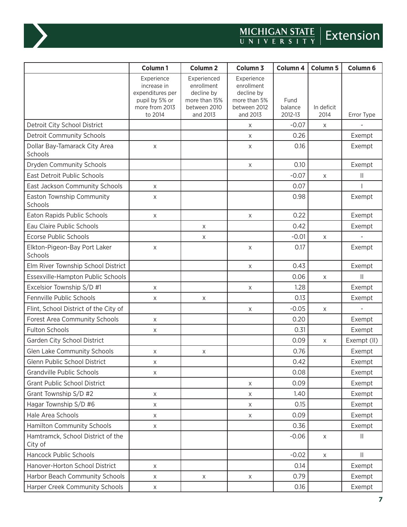

## $\frac{\text{MICHIGAN STATE}}{\text{UNINER SITY}}$  Extension

|                                              | Column <sub>1</sub>                                                                          | <b>Column 2</b>                                                                      | Column 3                                                                           | Column 4                   | <b>Column 5</b>    | Column 6                              |
|----------------------------------------------|----------------------------------------------------------------------------------------------|--------------------------------------------------------------------------------------|------------------------------------------------------------------------------------|----------------------------|--------------------|---------------------------------------|
|                                              | Experience<br>increase in<br>expenditures per<br>pupil by 5% or<br>more from 2013<br>to 2014 | Experienced<br>enrollment<br>decline by<br>more than 15%<br>between 2010<br>and 2013 | Experience<br>enrollment<br>decline by<br>more than 5%<br>between 2012<br>and 2013 | Fund<br>balance<br>2012-13 | In deficit<br>2014 | Error Type                            |
| Detroit City School District                 |                                                                                              |                                                                                      | X                                                                                  | $-0.07$                    | X                  |                                       |
| <b>Detroit Community Schools</b>             |                                                                                              |                                                                                      | X                                                                                  | 0.26                       |                    | Exempt                                |
| Dollar Bay-Tamarack City Area<br>Schools     | $\mathsf{X}$                                                                                 |                                                                                      | $\mathsf{X}$                                                                       | 0.16                       |                    | Exempt                                |
| Dryden Community Schools                     |                                                                                              |                                                                                      | $\mathsf{X}$                                                                       | 0.10                       |                    | Exempt                                |
| East Detroit Public Schools                  |                                                                                              |                                                                                      |                                                                                    | $-0.07$                    | $\sf X$            | $\begin{array}{c} \hline \end{array}$ |
| East Jackson Community Schools               | X                                                                                            |                                                                                      |                                                                                    | 0.07                       |                    |                                       |
| Easton Township Community<br>Schools         | $\mathsf{X}$                                                                                 |                                                                                      |                                                                                    | 0.98                       |                    | Exempt                                |
| Eaton Rapids Public Schools                  | $\mathsf{X}$                                                                                 |                                                                                      | $\mathsf{X}$                                                                       | 0.22                       |                    | Exempt                                |
| Eau Claire Public Schools                    |                                                                                              | X                                                                                    |                                                                                    | 0.42                       |                    | Exempt                                |
| <b>Ecorse Public Schools</b>                 |                                                                                              | X                                                                                    |                                                                                    | $-0.01$                    | $\sf X$            | $\overline{a}$                        |
| Elkton-Pigeon-Bay Port Laker<br>Schools      | $\mathsf{X}$                                                                                 |                                                                                      | $\mathsf{X}$                                                                       | 0.17                       |                    | Exempt                                |
| Elm River Township School District           |                                                                                              |                                                                                      | X                                                                                  | 0.43                       |                    | Exempt                                |
| Essexville-Hampton Public Schools            |                                                                                              |                                                                                      |                                                                                    | 0.06                       | X                  | $\mathbf{II}$                         |
| Excelsior Township S/D #1                    | $\mathsf{X}$                                                                                 |                                                                                      | X                                                                                  | 1.28                       |                    | Exempt                                |
| Fennville Public Schools                     | $\mathsf{X}$                                                                                 | X                                                                                    |                                                                                    | 0.13                       |                    | Exempt                                |
| Flint, School District of the City of        |                                                                                              |                                                                                      | X                                                                                  | $-0.05$                    | X                  | $\overline{a}$                        |
| Forest Area Community Schools                | $\mathsf{X}$                                                                                 |                                                                                      |                                                                                    | 0.20                       |                    | Exempt                                |
| <b>Fulton Schools</b>                        | $\mathsf{X}$                                                                                 |                                                                                      |                                                                                    | 0.31                       |                    | Exempt                                |
| Garden City School District                  |                                                                                              |                                                                                      |                                                                                    | 0.09                       | $\sf X$            | Exempt (II)                           |
| Glen Lake Community Schools                  | $\mathsf{X}$                                                                                 | X                                                                                    |                                                                                    | 0.76                       |                    | Exempt                                |
| Glenn Public School District                 | X                                                                                            |                                                                                      |                                                                                    | 0.42                       |                    | Exempt                                |
| Grandville Public Schools                    | $\mathsf{X}$                                                                                 |                                                                                      |                                                                                    | 0.08                       |                    | Exempt                                |
| <b>Grant Public School District</b>          |                                                                                              |                                                                                      | $\mathsf{X}$                                                                       | 0.09                       |                    | Exempt                                |
| Grant Township S/D #2                        | X                                                                                            |                                                                                      | X                                                                                  | 1.40                       |                    | Exempt                                |
| Hagar Township S/D #6                        | $\mathsf{X}$                                                                                 |                                                                                      | $\mathsf{X}$                                                                       | 0.15                       |                    | Exempt                                |
| Hale Area Schools                            | X                                                                                            |                                                                                      | X                                                                                  | 0.09                       |                    | Exempt                                |
| Hamilton Community Schools                   | X                                                                                            |                                                                                      |                                                                                    | 0.36                       |                    | Exempt                                |
| Hamtramck, School District of the<br>City of |                                                                                              |                                                                                      |                                                                                    | $-0.06$                    | $\mathsf{X}$       | $\begin{array}{c} \hline \end{array}$ |
| Hancock Public Schools                       |                                                                                              |                                                                                      |                                                                                    | $-0.02$                    | $\mathsf{X}$       | $\ensuremath{\mathsf{II}}$            |
| Hanover-Horton School District               | X                                                                                            |                                                                                      |                                                                                    | 0.14                       |                    | Exempt                                |
| Harbor Beach Community Schools               | X                                                                                            | $\mathsf X$                                                                          | X                                                                                  | 0.79                       |                    | Exempt                                |
| Harper Creek Community Schools               | X                                                                                            |                                                                                      |                                                                                    | 0.16                       |                    | Exempt                                |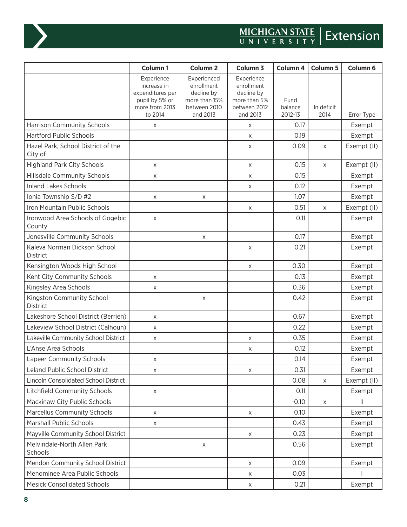

 $\overline{\phantom{a}}$ 

## $\frac{\text{MICHIGAN STATE}}{\text{UNIVE R S IT Y}}$  Extension

|                                               | Column <sub>1</sub>                                                                          | <b>Column 2</b>                                                                      | Column <sub>3</sub>                                                                | Column 4                   | <b>Column 5</b>    | Column 6                              |
|-----------------------------------------------|----------------------------------------------------------------------------------------------|--------------------------------------------------------------------------------------|------------------------------------------------------------------------------------|----------------------------|--------------------|---------------------------------------|
|                                               | Experience<br>increase in<br>expenditures per<br>pupil by 5% or<br>more from 2013<br>to 2014 | Experienced<br>enrollment<br>decline by<br>more than 15%<br>between 2010<br>and 2013 | Experience<br>enrollment<br>decline by<br>more than 5%<br>between 2012<br>and 2013 | Fund<br>balance<br>2012-13 | In deficit<br>2014 | Error Type                            |
| Harrison Community Schools                    | X                                                                                            |                                                                                      | X                                                                                  | 0.17                       |                    | Exempt                                |
| <b>Hartford Public Schools</b>                |                                                                                              |                                                                                      | $\mathsf X$                                                                        | 0.19                       |                    | Exempt                                |
| Hazel Park, School District of the<br>City of |                                                                                              |                                                                                      | $\mathsf{X}$                                                                       | 0.09                       | X                  | Exempt (II)                           |
| <b>Highland Park City Schools</b>             | $\mathsf{X}$                                                                                 |                                                                                      | $\mathsf{X}$                                                                       | 0.15                       | X                  | Exempt (II)                           |
| Hillsdale Community Schools                   | X                                                                                            |                                                                                      | $\mathsf{X}$                                                                       | 0.15                       |                    | Exempt                                |
| <b>Inland Lakes Schools</b>                   |                                                                                              |                                                                                      | X                                                                                  | 0.12                       |                    | Exempt                                |
| Ionia Township S/D #2                         | X                                                                                            | X                                                                                    |                                                                                    | 1.07                       |                    | Exempt                                |
| Iron Mountain Public Schools                  |                                                                                              |                                                                                      | $\mathsf{X}$                                                                       | 0.51                       | $\mathsf{X}$       | Exempt (II)                           |
| Ironwood Area Schools of Gogebic<br>County    | $\mathsf{X}$                                                                                 |                                                                                      |                                                                                    | 0.11                       |                    | Exempt                                |
| Jonesville Community Schools                  |                                                                                              | X                                                                                    |                                                                                    | 0.17                       |                    | Exempt                                |
| Kaleva Norman Dickson School<br>District      |                                                                                              |                                                                                      | $\mathsf{X}$                                                                       | 0.21                       |                    | Exempt                                |
| Kensington Woods High School                  |                                                                                              |                                                                                      | X                                                                                  | 0.30                       |                    | Exempt                                |
| Kent City Community Schools                   | $\mathsf{X}$                                                                                 |                                                                                      |                                                                                    | 0.13                       |                    | Exempt                                |
| Kingsley Area Schools                         | X                                                                                            |                                                                                      |                                                                                    | 0.36                       |                    | Exempt                                |
| Kingston Community School<br><b>District</b>  |                                                                                              | X                                                                                    |                                                                                    | 0.42                       |                    | Exempt                                |
| Lakeshore School District (Berrien)           | X                                                                                            |                                                                                      |                                                                                    | 0.67                       |                    | Exempt                                |
| Lakeview School District (Calhoun)            | $\mathsf{X}$                                                                                 |                                                                                      |                                                                                    | 0.22                       |                    | Exempt                                |
| Lakeville Community School District           | $\mathsf{X}$                                                                                 |                                                                                      | X                                                                                  | 0.35                       |                    | Exempt                                |
| L'Anse Area Schools                           |                                                                                              |                                                                                      | X                                                                                  | 0.12                       |                    | Exempt                                |
| Lapeer Community Schools                      | X                                                                                            |                                                                                      |                                                                                    | 0.14                       |                    | Exempt                                |
| Leland Public School District                 | X                                                                                            |                                                                                      | X                                                                                  | 0.31                       |                    | Exempt                                |
| Lincoln Consolidated School District          |                                                                                              |                                                                                      |                                                                                    | 0.08                       | X                  | Exempt (II)                           |
| <b>Litchfield Community Schools</b>           | X                                                                                            |                                                                                      |                                                                                    | 0.11                       |                    | Exempt                                |
| Mackinaw City Public Schools                  |                                                                                              |                                                                                      |                                                                                    | $-0.10$                    | Χ                  | $\begin{array}{c} \hline \end{array}$ |
| Marcellus Community Schools                   | X                                                                                            |                                                                                      | X                                                                                  | 0.10                       |                    | Exempt                                |
| <b>Marshall Public Schools</b>                | X                                                                                            |                                                                                      |                                                                                    | 0.43                       |                    | Exempt                                |
| Mayville Community School District            |                                                                                              |                                                                                      | X                                                                                  | 0.23                       |                    | Exempt                                |
| Melvindale-North Allen Park<br>Schools        |                                                                                              | X                                                                                    |                                                                                    | 0.56                       |                    | Exempt                                |
| Mendon Community School District              |                                                                                              |                                                                                      | $\mathsf X$                                                                        | 0.09                       |                    | Exempt                                |
| Menominee Area Public Schools                 |                                                                                              |                                                                                      | X                                                                                  | 0.03                       |                    |                                       |
| <b>Mesick Consolidated Schools</b>            |                                                                                              |                                                                                      | X                                                                                  | 0.21                       |                    | Exempt                                |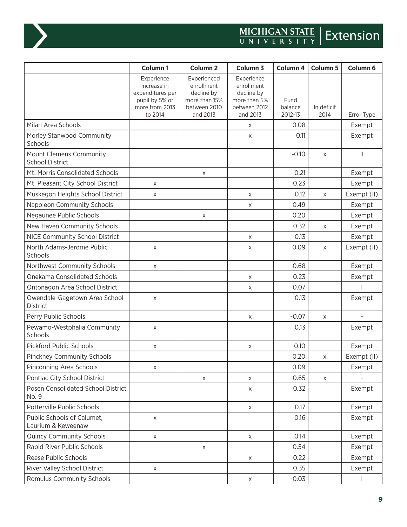

### $\frac{\text{MICHIGAN STATE}}{\text{UNINER SITY}}$  Extension

|                                                   | Column <sub>1</sub>                                                                          | <b>Column 2</b>                                                                      | Column <sub>3</sub>                                                                | Column 4                   | <b>Column 5</b>    | Column 6                   |
|---------------------------------------------------|----------------------------------------------------------------------------------------------|--------------------------------------------------------------------------------------|------------------------------------------------------------------------------------|----------------------------|--------------------|----------------------------|
|                                                   | Experience<br>increase in<br>expenditures per<br>pupil by 5% or<br>more from 2013<br>to 2014 | Experienced<br>enrollment<br>decline by<br>more than 15%<br>between 2010<br>and 2013 | Experience<br>enrollment<br>decline by<br>more than 5%<br>between 2012<br>and 2013 | Fund<br>balance<br>2012-13 | In deficit<br>2014 | Error Type                 |
| Milan Area Schools                                |                                                                                              |                                                                                      | X                                                                                  | 0.08                       |                    | Exempt                     |
| Morley Stanwood Community<br>Schools              |                                                                                              |                                                                                      | $\mathsf{X}$                                                                       | 0.11                       |                    | Exempt                     |
| Mount Clemens Community<br><b>School District</b> |                                                                                              |                                                                                      |                                                                                    | $-0.10$                    | X                  | $\ensuremath{\mathsf{II}}$ |
| Mt. Morris Consolidated Schools                   |                                                                                              | X                                                                                    |                                                                                    | 0.21                       |                    | Exempt                     |
| Mt. Pleasant City School District                 | $\mathsf X$                                                                                  |                                                                                      |                                                                                    | 0.23                       |                    | Exempt                     |
| Muskegon Heights School District                  | $\mathsf X$                                                                                  |                                                                                      | X                                                                                  | 0.12                       | X                  | Exempt (II)                |
| Napoleon Community Schools                        |                                                                                              |                                                                                      | X                                                                                  | 0.49                       |                    | Exempt                     |
| Negaunee Public Schools                           |                                                                                              | X                                                                                    |                                                                                    | 0.20                       |                    | Exempt                     |
| New Haven Community Schools                       |                                                                                              |                                                                                      |                                                                                    | 0.32                       | X                  | Exempt                     |
| NICE Community School District                    |                                                                                              |                                                                                      | X                                                                                  | 0.13                       |                    | Exempt                     |
| North Adams-Jerome Public<br>Schools              | $\mathsf X$                                                                                  |                                                                                      | X                                                                                  | 0.09                       | $\mathsf{X}$       | Exempt (II)                |
| Northwest Community Schools                       | X                                                                                            |                                                                                      |                                                                                    | 0.68                       |                    | Exempt                     |
| Onekama Consolidated Schools                      |                                                                                              |                                                                                      | $\mathsf{X}$                                                                       | 0.23                       |                    | Exempt                     |
| Ontonagon Area School District                    |                                                                                              |                                                                                      | X                                                                                  | 0.07                       |                    |                            |
| Owendale-Gagetown Area School<br>District         | $\mathsf{X}$                                                                                 |                                                                                      |                                                                                    | 0.13                       |                    | Exempt                     |
| Perry Public Schools                              |                                                                                              |                                                                                      | $\mathsf{X}$                                                                       | $-0.07$                    | X                  | $\overline{a}$             |
| Pewamo-Westphalia Community<br>Schools            | $\mathsf X$                                                                                  |                                                                                      |                                                                                    | 0.13                       |                    | Exempt                     |
| Pickford Public Schools                           | X                                                                                            |                                                                                      | X                                                                                  | 0.10                       |                    | Exempt                     |
| <b>Pinckney Community Schools</b>                 |                                                                                              |                                                                                      |                                                                                    | 0.20                       | X                  | Exempt (II)                |
| Pinconning Area Schools                           | X                                                                                            |                                                                                      |                                                                                    | 0.09                       |                    | Exempt                     |
| Pontiac City School District                      |                                                                                              | X                                                                                    | X                                                                                  | $-0.65$                    | X                  |                            |
| Posen Consolidated School District<br>No. 9       |                                                                                              |                                                                                      | $\mathsf{X}$                                                                       | 0.32                       |                    | Exempt                     |
| Potterville Public Schools                        |                                                                                              |                                                                                      | X                                                                                  | 0.17                       |                    | Exempt                     |
| Public Schools of Calumet,<br>Laurium & Keweenaw  | $\mathsf{X}$                                                                                 |                                                                                      |                                                                                    | 0.16                       |                    | Exempt                     |
| Quincy Community Schools                          | X                                                                                            |                                                                                      | X                                                                                  | 0.14                       |                    | Exempt                     |
| Rapid River Public Schools                        |                                                                                              | X                                                                                    |                                                                                    | 0.54                       |                    | Exempt                     |
| Reese Public Schools                              |                                                                                              |                                                                                      | X                                                                                  | 0.22                       |                    | Exempt                     |
| River Valley School District                      | X                                                                                            |                                                                                      |                                                                                    | 0.35                       |                    | Exempt                     |
| <b>Romulus Community Schools</b>                  |                                                                                              |                                                                                      | X                                                                                  | $-0.03$                    |                    |                            |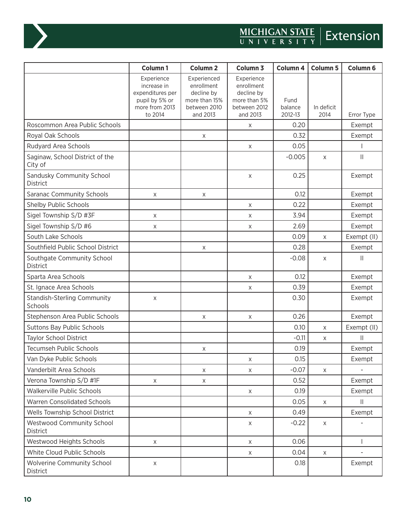

 $\overline{\phantom{a}}$ 

## $\frac{\text{MICHIGAN STATE}}{\text{UNINER SITY}}$  Extension

|                                               | Column <sub>1</sub>                                                                          | <b>Column 2</b>                                                                      | Column <sub>3</sub>                                                                | Column 4                   | <b>Column 5</b>    | Column 6      |
|-----------------------------------------------|----------------------------------------------------------------------------------------------|--------------------------------------------------------------------------------------|------------------------------------------------------------------------------------|----------------------------|--------------------|---------------|
|                                               | Experience<br>increase in<br>expenditures per<br>pupil by 5% or<br>more from 2013<br>to 2014 | Experienced<br>enrollment<br>decline by<br>more than 15%<br>between 2010<br>and 2013 | Experience<br>enrollment<br>decline by<br>more than 5%<br>between 2012<br>and 2013 | Fund<br>balance<br>2012-13 | In deficit<br>2014 | Error Type    |
| Roscommon Area Public Schools                 |                                                                                              |                                                                                      | X                                                                                  | 0.20                       |                    | Exempt        |
| Royal Oak Schools                             |                                                                                              | $\mathsf{X}$                                                                         |                                                                                    | 0.32                       |                    | Exempt        |
| Rudyard Area Schools                          |                                                                                              |                                                                                      | X                                                                                  | 0.05                       |                    |               |
| Saginaw, School District of the<br>City of    |                                                                                              |                                                                                      |                                                                                    | $-0.005$                   | X                  | $\vert\vert$  |
| Sandusky Community School<br>District         |                                                                                              |                                                                                      | $\mathsf X$                                                                        | 0.25                       |                    | Exempt        |
| <b>Saranac Community Schools</b>              | X                                                                                            | X                                                                                    |                                                                                    | 0.12                       |                    | Exempt        |
| Shelby Public Schools                         |                                                                                              |                                                                                      | X                                                                                  | 0.22                       |                    | Exempt        |
| Sigel Township S/D #3F                        | $\mathsf{X}$                                                                                 |                                                                                      | X                                                                                  | 3.94                       |                    | Exempt        |
| Sigel Township S/D #6                         | X                                                                                            |                                                                                      | X                                                                                  | 2.69                       |                    | Exempt        |
| South Lake Schools                            |                                                                                              |                                                                                      |                                                                                    | 0.09                       | $\mathsf{X}$       | Exempt (II)   |
| Southfield Public School District             |                                                                                              | $\mathsf{X}$                                                                         |                                                                                    | 0.28                       |                    | Exempt        |
| Southgate Community School<br>District        |                                                                                              |                                                                                      |                                                                                    | $-0.08$                    | $\mathsf{X}$       | Ш             |
| Sparta Area Schools                           |                                                                                              |                                                                                      | $\mathsf{X}$                                                                       | 0.12                       |                    | Exempt        |
| St. Ignace Area Schools                       |                                                                                              |                                                                                      | X                                                                                  | 0.39                       |                    | Exempt        |
| <b>Standish-Sterling Community</b><br>Schools | $\mathsf{X}$                                                                                 |                                                                                      |                                                                                    | 0.30                       |                    | Exempt        |
| Stephenson Area Public Schools                |                                                                                              | $\mathsf{X}$                                                                         | X                                                                                  | 0.26                       |                    | Exempt        |
| <b>Suttons Bay Public Schools</b>             |                                                                                              |                                                                                      |                                                                                    | 0.10                       | $\mathsf X$        | Exempt (II)   |
| <b>Taylor School District</b>                 |                                                                                              |                                                                                      |                                                                                    | $-0.11$                    | X                  | $\mathbf{H}$  |
| <b>Tecumseh Public Schools</b>                |                                                                                              | X                                                                                    |                                                                                    | 0.19                       |                    | Exempt        |
| Van Dyke Public Schools                       |                                                                                              |                                                                                      | $\mathsf X$                                                                        | 0.15                       |                    | Exempt        |
| Vanderbilt Area Schools                       |                                                                                              | X                                                                                    | X                                                                                  | $-0.07$                    | X                  |               |
| Verona Township S/D #1F                       | X                                                                                            | $\mathsf X$                                                                          |                                                                                    | 0.52                       |                    | Exempt        |
| Walkerville Public Schools                    |                                                                                              |                                                                                      | $\mathsf{X}$                                                                       | 0.19                       |                    | Exempt        |
| <b>Warren Consolidated Schools</b>            |                                                                                              |                                                                                      |                                                                                    | 0.05                       | $\times$           | $\mathbf{  }$ |
| Wells Township School District                |                                                                                              |                                                                                      | $\mathsf{X}$                                                                       | 0.49                       |                    | Exempt        |
| Westwood Community School<br>District         |                                                                                              |                                                                                      | X                                                                                  | $-0.22$                    | $\mathsf{X}$       |               |
| Westwood Heights Schools                      | X                                                                                            |                                                                                      | X                                                                                  | 0.06                       |                    | T             |
| White Cloud Public Schools                    |                                                                                              |                                                                                      | X                                                                                  | 0.04                       | $\mathsf X$        |               |
| Wolverine Community School<br>District        | X                                                                                            |                                                                                      |                                                                                    | 0.18                       |                    | Exempt        |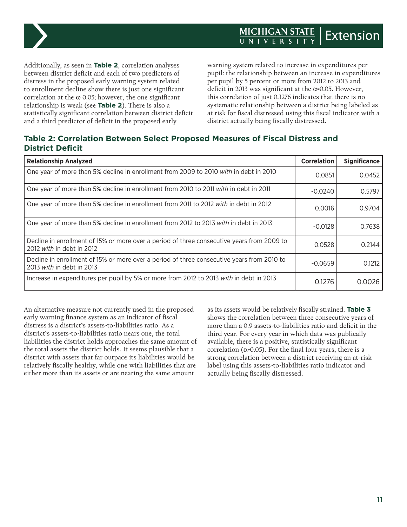

Additionally, as seen in **Table 2**, correlation analyses between district deficit and each of two predictors of distress in the proposed early warning system related to enrollment decline show there is just one significant correlation at the  $\alpha$ =0.05; however, the one significant relationship is weak (see **Table 2**). There is also a statistically significant correlation between district deficit and a third predictor of deficit in the proposed early

warning system related to increase in expenditures per pupil: the relationship between an increase in expenditures per pupil by 5 percent or more from 2012 to 2013 and deficit in 2013 was significant at the  $\alpha$ =0.05. However, this correlation of just 0.1276 indicates that there is no systematic relationship between a district being labeled as at risk for fiscal distressed using this fiscal indicator with a district actually being fiscally distressed.

#### **Table 2: Correlation Between Select Proposed Measures of Fiscal Distress and District Deficit**

| <b>Relationship Analyzed</b>                                                                                            | <b>Correlation</b> | <b>Significance</b> |
|-------------------------------------------------------------------------------------------------------------------------|--------------------|---------------------|
| One year of more than 5% decline in enrollment from 2009 to 2010 with in debt in 2010                                   | 0.0851             | 0.0452              |
| One year of more than 5% decline in enrollment from 2010 to 2011 with in debt in 2011                                   | $-0.0240$          | 0.5797              |
| One year of more than 5% decline in enrollment from 2011 to 2012 with in debt in 2012                                   | 0.0016             | 0.9704              |
| One year of more than 5% decline in enrollment from 2012 to 2013 with in debt in 2013                                   | $-0.0128$          | 0.7638              |
| Decline in enrollment of 15% or more over a period of three consecutive years from 2009 to<br>2012 with in debt in 2012 | 0.0528             | 0.2144              |
| Decline in enrollment of 15% or more over a period of three consecutive years from 2010 to<br>2013 with in debt in 2013 | $-0.0659$          | 0.1212              |
| Increase in expenditures per pupil by 5% or more from 2012 to 2013 with in debt in 2013                                 | 0.1276             | 0.0026              |

An alternative measure not currently used in the proposed early warning finance system as an indicator of fiscal distress is a district's assets-to-liabilities ratio. As a district's assets-to-liabilities ratio nears one, the total liabilities the district holds approaches the same amount of the total assets the district holds. It seems plausible that a district with assets that far outpace its liabilities would be relatively fiscally healthy, while one with liabilities that are either more than its assets or are nearing the same amount

as its assets would be relatively fiscally strained. **Table 3**  shows the correlation between three consecutive years of more than a 0.9 assets-to-liabilities ratio and deficit in the third year. For every year in which data was publically available, there is a positive, statistically significant correlation ( $\alpha$ =0.05). For the final four years, there is a strong correlation between a district receiving an at-risk label using this assets-to-liabilities ratio indicator and actually being fiscally distressed.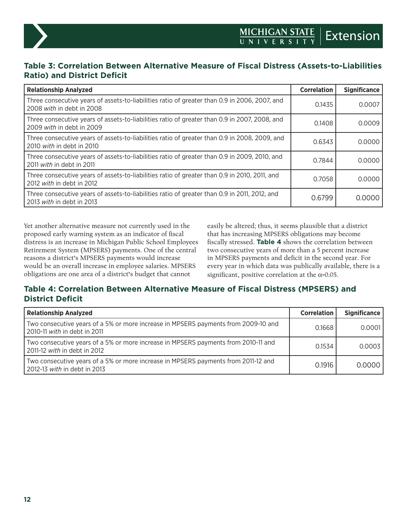

#### **Table 3: Correlation Between Alternative Measure of Fiscal Distress (Assets-to-Liabilities Ratio) and District Deficit**

| <b>Relationship Analyzed</b>                                                                                                      | <b>Correlation</b> | <b>Significance</b> |
|-----------------------------------------------------------------------------------------------------------------------------------|--------------------|---------------------|
| Three consecutive years of assets-to-liabilities ratio of greater than 0.9 in 2006, 2007, and<br>2008 with in debt in 2008        | 0.1435             | 0.0007              |
| Three consecutive years of assets-to-liabilities ratio of greater than 0.9 in 2007, 2008, and<br>2009 with in debt in 2009        | 0.1408             | 0.0009              |
| Three consecutive years of assets-to-liabilities ratio of greater than 0.9 in 2008, 2009, and<br>2010 <i>with</i> in debt in 2010 | 0.6343             | 0.0000              |
| Three consecutive years of assets-to-liabilities ratio of greater than 0.9 in 2009, 2010, and<br>2011 <i>with</i> in debt in 2011 | 0.7844             | 0.0000              |
| Three consecutive years of assets-to-liabilities ratio of greater than 0.9 in 2010, 2011, and<br>2012 <i>with</i> in debt in 2012 | 0.7058             | 0.0000              |
| Three consecutive years of assets-to-liabilities ratio of greater than 0.9 in 2011, 2012, and<br>2013 <i>with</i> in debt in 2013 | 0.6799             | 0.0000              |

Yet another alternative measure not currently used in the proposed early warning system as an indicator of fiscal distress is an increase in Michigan Public School Employees Retirement System (MPSERS) payments. One of the central reasons a district's MPSERS payments would increase would be an overall increase in employee salaries. MPSERS obligations are one area of a district's budget that cannot

easily be altered; thus, it seems plausible that a district that has increasing MPSERS obligations may become fiscally stressed. **Table 4** shows the correlation between two consecutive years of more than a 5 percent increase in MPSERS payments and deficit in the second year. For every year in which data was publically available, there is a significant, positive correlation at the α=0.05.

#### **Table 4: Correlation Between Alternative Measure of Fiscal Distress (MPSERS) and District Deficit**

| <b>Relationship Analyzed</b>                                                                                                | <b>Correlation</b> | <b>Significance</b> |
|-----------------------------------------------------------------------------------------------------------------------------|--------------------|---------------------|
| Two consecutive years of a 5% or more increase in MPSERS payments from 2009-10 and<br>l 2010-11 <i>with</i> in debt in 2011 | 0.1668             | 0.0001              |
| Two consecutive years of a 5% or more increase in MPSERS payments from 2010-11 and<br>2011-12 <i>with</i> in debt in 2012   | 0.1534             | 0.0003              |
| Two consecutive years of a 5% or more increase in MPSERS payments from 2011-12 and<br>2012-13 <i>with</i> in debt in 2013   | 0.1916             | 0.0000              |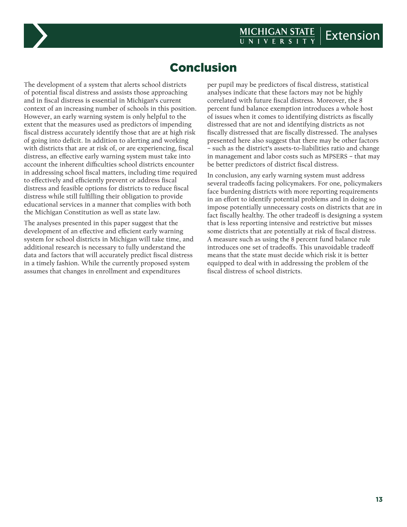

The development of a system that alerts school districts of potential fiscal distress and assists those approaching and in fiscal distress is essential in Michigan's current context of an increasing number of schools in this position. However, an early warning system is only helpful to the extent that the measures used as predictors of impending fiscal distress accurately identify those that are at high risk of going into deficit. In addition to alerting and working with districts that are at risk of, or are experiencing, fiscal distress, an effective early warning system must take into account the inherent difficulties school districts encounter in addressing school fiscal matters, including time required to effectively and efficiently prevent or address fiscal distress and feasible options for districts to reduce fiscal distress while still fulfilling their obligation to provide educational services in a manner that complies with both the Michigan Constitution as well as state law.

The analyses presented in this paper suggest that the development of an effective and efficient early warning system for school districts in Michigan will take time, and additional research is necessary to fully understand the data and factors that will accurately predict fiscal distress in a timely fashion. While the currently proposed system assumes that changes in enrollment and expenditures

per pupil may be predictors of fiscal distress, statistical analyses indicate that these factors may not be highly correlated with future fiscal distress. Moreover, the 8 percent fund balance exemption introduces a whole host of issues when it comes to identifying districts as fiscally distressed that are not and identifying districts as not fiscally distressed that are fiscally distressed. The analyses presented here also suggest that there may be other factors – such as the district's assets-to-liabilities ratio and change in management and labor costs such as MPSERS – that may be better predictors of district fiscal distress.

In conclusion, any early warning system must address several tradeoffs facing policymakers. For one, policymakers face burdening districts with more reporting requirements in an effort to identify potential problems and in doing so impose potentially unnecessary costs on districts that are in fact fiscally healthy. The other tradeoff is designing a system that is less reporting intensive and restrictive but misses some districts that are potentially at risk of fiscal distress. A measure such as using the 8 percent fund balance rule introduces one set of tradeoffs. This unavoidable tradeoff means that the state must decide which risk it is better equipped to deal with in addressing the problem of the fiscal distress of school districts.